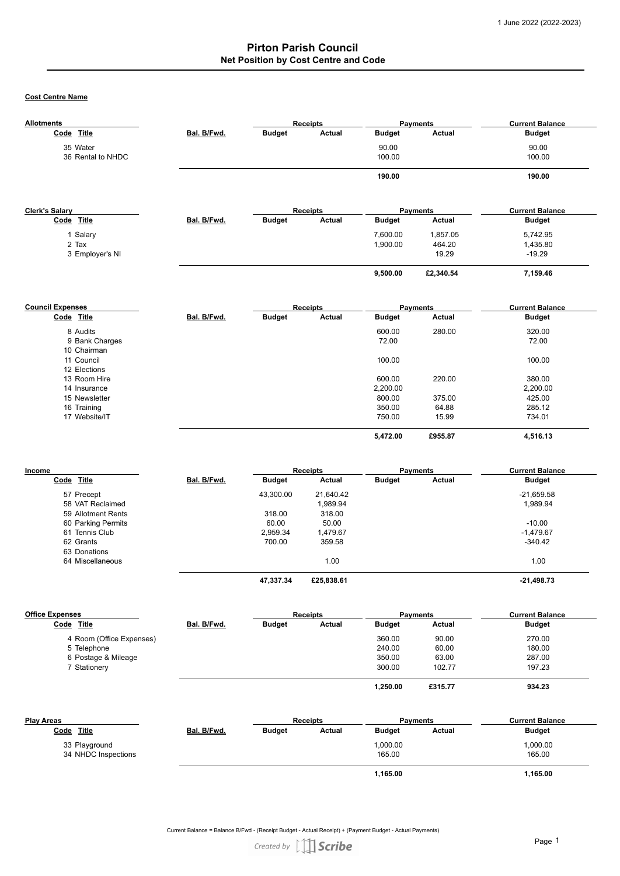**Cost Centre Name**

| Bal. B/Fwd.<br>Bal. B/Fwd. | <b>Budget</b> | <b>Actual</b>                            | <b>Budget</b><br>90.00<br>100.00<br>190.00                                                        | <b>Payments</b><br><b>Actual</b>       | <b>Budget</b><br>90.00<br>100.00<br>190.00                                                   |
|----------------------------|---------------|------------------------------------------|---------------------------------------------------------------------------------------------------|----------------------------------------|----------------------------------------------------------------------------------------------|
|                            |               |                                          |                                                                                                   |                                        |                                                                                              |
|                            |               |                                          |                                                                                                   |                                        |                                                                                              |
|                            |               |                                          |                                                                                                   |                                        |                                                                                              |
|                            |               |                                          |                                                                                                   |                                        |                                                                                              |
|                            |               |                                          |                                                                                                   |                                        |                                                                                              |
|                            |               | <b>Receipts</b>                          |                                                                                                   | <b>Payments</b>                        | <b>Current Balance</b>                                                                       |
|                            | <b>Budget</b> | <b>Actual</b>                            | <b>Budget</b>                                                                                     | Actual                                 | <b>Budget</b>                                                                                |
|                            |               |                                          | 7,600.00                                                                                          | 1,857.05                               | 5,742.95                                                                                     |
|                            |               |                                          | 1,900.00                                                                                          | 464.20                                 | 1,435.80                                                                                     |
|                            |               |                                          |                                                                                                   | 19.29                                  | $-19.29$                                                                                     |
|                            |               |                                          | 9,500.00                                                                                          | £2,340.54                              | 7,159.46                                                                                     |
|                            |               |                                          |                                                                                                   |                                        | <b>Current Balance</b>                                                                       |
| Bal. B/Fwd.                | <b>Budget</b> | <b>Actual</b>                            | <b>Budget</b>                                                                                     | Actual                                 | <b>Budget</b>                                                                                |
|                            |               |                                          |                                                                                                   |                                        | 320.00                                                                                       |
|                            |               |                                          | 72.00                                                                                             |                                        | 72.00                                                                                        |
|                            |               |                                          | 100.00                                                                                            |                                        | 100.00                                                                                       |
|                            |               |                                          |                                                                                                   |                                        | 380.00                                                                                       |
|                            |               |                                          |                                                                                                   |                                        | 2.200.00                                                                                     |
|                            |               |                                          | 800.00                                                                                            |                                        | 425.00                                                                                       |
|                            |               |                                          | 350.00                                                                                            | 64.88                                  | 285.12                                                                                       |
|                            |               |                                          | 750.00                                                                                            | 15.99                                  | 734.01                                                                                       |
|                            |               |                                          | 5,472.00                                                                                          | £955.87                                | 4,516.13                                                                                     |
|                            |               |                                          |                                                                                                   |                                        | <b>Current Balance</b>                                                                       |
| Bal. B/Fwd.                | <b>Budget</b> | Actual                                   | <b>Budget</b>                                                                                     | Actual                                 | <b>Budget</b>                                                                                |
|                            |               |                                          |                                                                                                   |                                        | $-21,659.58$                                                                                 |
|                            |               | 1,989.94                                 |                                                                                                   |                                        | 1,989.94                                                                                     |
|                            | 318.00        | 318.00                                   |                                                                                                   |                                        |                                                                                              |
|                            |               |                                          |                                                                                                   |                                        | $-10.00$                                                                                     |
|                            |               |                                          |                                                                                                   |                                        | $-1.479.67$                                                                                  |
|                            |               |                                          |                                                                                                   |                                        | $-340.42$                                                                                    |
|                            |               | 1.00                                     |                                                                                                   |                                        | 1.00                                                                                         |
|                            | 47,337.34     | £25,838.61                               |                                                                                                   |                                        | $-21,498.73$                                                                                 |
|                            |               |                                          |                                                                                                   |                                        | <b>Current Balance</b>                                                                       |
| Bal. B/Fwd.                | <b>Budget</b> | Actual                                   | <b>Budget</b>                                                                                     | Actual                                 | <b>Budget</b>                                                                                |
|                            |               |                                          |                                                                                                   |                                        | 270.00                                                                                       |
|                            |               |                                          | 240.00                                                                                            | 60.00                                  | 180.00                                                                                       |
|                            |               |                                          | 350.00                                                                                            | 63.00                                  | 287.00                                                                                       |
|                            |               |                                          | 300.00                                                                                            | 102.77                                 | 197.23                                                                                       |
|                            |               |                                          | 1,250.00                                                                                          | £315.77                                | 934.23                                                                                       |
|                            |               |                                          |                                                                                                   |                                        |                                                                                              |
|                            |               |                                          |                                                                                                   |                                        |                                                                                              |
| Bal. B/Fwd.                | <b>Budget</b> | <b>Receipts</b><br>Actual                | <b>Budget</b>                                                                                     | <b>Payments</b><br>Actual              | <b>Current Balance</b><br><b>Budget</b>                                                      |
|                            |               | 43,300.00<br>60.00<br>2,959.34<br>700.00 | <b>Receipts</b><br><b>Receipts</b><br>21,640.42<br>50.00<br>1,479.67<br>359.58<br><b>Receipts</b> | 600.00<br>600.00<br>2.200.00<br>360.00 | <b>Payments</b><br>280.00<br>220.00<br>375.00<br><b>Payments</b><br><b>Payments</b><br>90.00 |

Current Balance = Balance B/Fwd - (Receipt Budget - Actual Receipt) + (Payment Budget - Actual Payments)

Created by [1] Scribe

 **1,165.00 1,165.00**